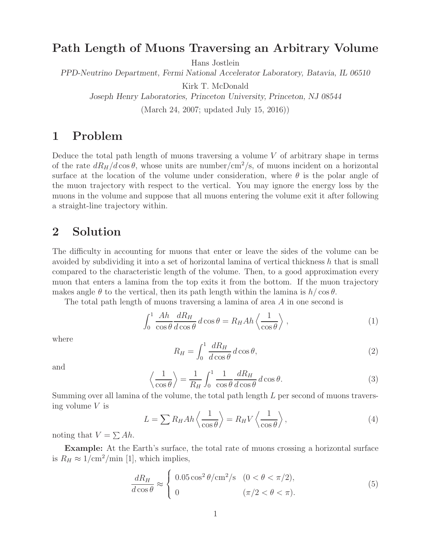### **Path Length of Muons Traversing an Arbitrary Volume**

Hans Jostlein

*PPD-Neutrino Department, Fermi National Accelerator Laboratory, Batavia, IL 06510*

Kirk T. McDonald

*Joseph Henry Laboratories, Princeton University, Princeton, NJ 08544*

(March 24, 2007; updated July 15, 2016))

## **1 Problem**

Deduce the total path length of muons traversing a volume  $V$  of arbitrary shape in terms of the rate  $dR_H/d\cos\theta$ , whose units are number/cm<sup>2</sup>/s, of muons incident on a horizontal surface at the location of the volume under consideration, where  $\theta$  is the polar angle of the muon trajectory with respect to the vertical. You may ignore the energy loss by the muons in the volume and suppose that all muons entering the volume exit it after following a straight-line trajectory within.

#### **2 Solution**

The difficulty in accounting for muons that enter or leave the sides of the volume can be avoided by subdividing it into a set of horizontal lamina of vertical thickness h that is small compared to the characteristic length of the volume. Then, to a good approximation every muon that enters a lamina from the top exits it from the bottom. If the muon trajectory makes angle  $\theta$  to the vertical, then its path length within the lamina is  $h/\cos\theta$ .

The total path length of muons traversing a lamina of area A in one second is

$$
\int_0^1 \frac{Ah}{\cos \theta} \frac{dR_H}{d\cos \theta} d\cos \theta = R_H Ah \left\langle \frac{1}{\cos \theta} \right\rangle,
$$
 (1)

where

$$
R_H = \int_0^1 \frac{dR_H}{d\cos\theta} d\cos\theta,\tag{2}
$$

and

$$
\left\langle \frac{1}{\cos \theta} \right\rangle = \frac{1}{R_H} \int_0^1 \frac{1}{\cos \theta} \frac{dR_H}{d\cos \theta} d\cos \theta. \tag{3}
$$

Summing over all lamina of the volume, the total path length L per second of muons traversing volume V is

$$
L = \sum R_H A h \left\langle \frac{1}{\cos \theta} \right\rangle = R_H V \left\langle \frac{1}{\cos \theta} \right\rangle,\tag{4}
$$

noting that  $V = \sum Ah$ .

**Example:** At the Earth's surface, the total rate of muons crossing a horizontal surface is  $R_H \approx 1/\text{cm}^2/\text{min}$  [1], which implies,

$$
\frac{dR_H}{d\cos\theta} \approx \begin{cases} 0.05\cos^2\theta/\text{cm}^2/\text{s} & (0 < \theta < \pi/2), \\ 0 & (\pi/2 < \theta < \pi). \end{cases} \tag{5}
$$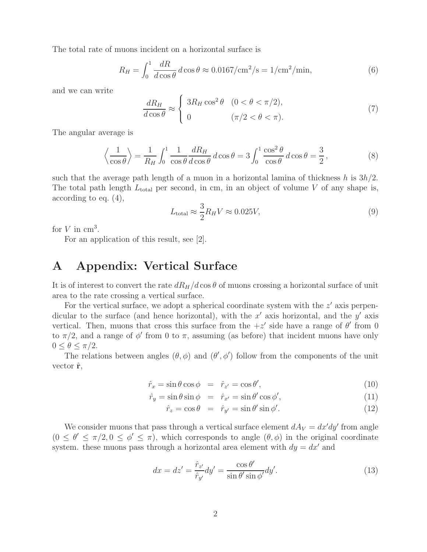The total rate of muons incident on a horizontal surface is

$$
R_H = \int_0^1 \frac{dR}{d\cos\theta} d\cos\theta \approx 0.0167/\text{cm}^2/\text{s} = 1/\text{cm}^2/\text{min},\tag{6}
$$

and we can write

$$
\frac{dR_H}{d\cos\theta} \approx \begin{cases} 3R_H \cos^2\theta & (0 < \theta < \pi/2), \\ 0 & (\pi/2 < \theta < \pi). \end{cases}
$$
\n(7)

The angular average is

$$
\left\langle \frac{1}{\cos \theta} \right\rangle = \frac{1}{R_H} \int_0^1 \frac{1}{\cos \theta} \frac{dR_H}{d\cos \theta} d\cos \theta = 3 \int_0^1 \frac{\cos^2 \theta}{\cos \theta} d\cos \theta = \frac{3}{2},\tag{8}
$$

such that the average path length of a muon in a horizontal lamina of thickness h is  $3h/2$ . The total path length  $L_{total}$  per second, in cm, in an object of volume V of any shape is, according to eq. (4),

$$
L_{\text{total}} \approx \frac{3}{2} R_H V \approx 0.025 V,\tag{9}
$$

for  $V$  in  $\text{cm}^3$ .

For an application of this result, see [2].

### **A Appendix: Vertical Surface**

It is of interest to convert the rate  $dR_H/d\cos\theta$  of muons crossing a horizontal surface of unit area to the rate crossing a vertical surface.

For the vertical surface, we adopt a spherical coordinate system with the  $z'$  axis perpendicular to the surface (and hence horizontal), with the  $x'$  axis horizontal, and the  $y'$  axis vertical. Then, muons that cross this surface from the  $+z'$  side have a range of  $\theta'$  from 0 to  $\pi/2$ , and a range of  $\phi'$  from 0 to  $\pi$ , assuming (as before) that incident muons have only  $0 \leq \theta \leq \pi/2$ .

The relations between angles  $(\theta, \phi)$  and  $(\theta', \phi')$  follow from the components of the unit vector ˆ**r**,

$$
\hat{r}_x = \sin \theta \cos \phi = \hat{r}_{z'} = \cos \theta',\tag{10}
$$

$$
\hat{r}_y = \sin \theta \sin \phi = \hat{r}_{x'} = \sin \theta' \cos \phi',\tag{11}
$$

$$
\hat{r}_z = \cos \theta = \hat{r}_{y'} = \sin \theta' \sin \phi'. \tag{12}
$$

We consider muons that pass through a vertical surface element  $dA_V = dx'dy'$  from angle  $(0 \le \theta' \le \pi/2, 0 \le \phi' \le \pi)$ , which corresponds to angle  $(\theta, \phi)$  in the original coordinate system. these muons pass through a horizontal area element with  $dy = dx'$  and

$$
dx = dz' = \frac{\hat{r}_{z'}}{\hat{r}_{y'}} dy' = \frac{\cos \theta'}{\sin \theta' \sin \phi'} dy'.
$$
\n(13)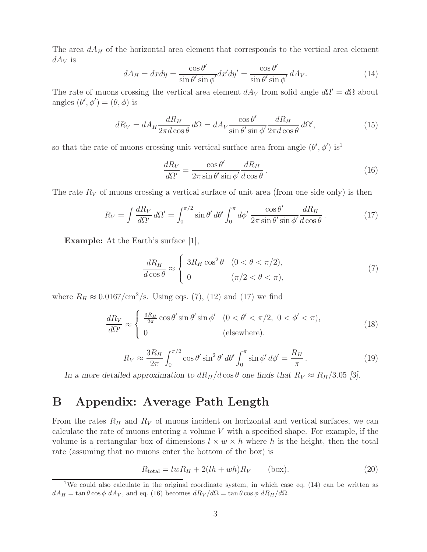The area  $dA_H$  of the horizontal area element that corresponds to the vertical area element  $dA_V$  is

$$
dA_H = dxdy = \frac{\cos \theta'}{\sin \theta' \sin \phi'} dx'dy' = \frac{\cos \theta'}{\sin \theta' \sin \phi'} dA_V.
$$
 (14)

The rate of muons crossing the vertical area element  $dA_V$  from solid angle  $d\Omega' = d\Omega$  about angles  $(\theta', \phi') = (\theta, \phi)$  is

$$
dR_V = dA_H \frac{dR_H}{2\pi d\cos\theta} d\Omega = dA_V \frac{\cos\theta'}{\sin\theta' \sin\phi'} \frac{dR_H}{2\pi d\cos\theta} d\Omega',\tag{15}
$$

so that the rate of muons crossing unit vertical surface area from angle  $(\theta', \phi')$  is<sup>1</sup>

$$
\frac{dR_V}{d\Omega'} = \frac{\cos\theta'}{2\pi\sin\theta'\sin\phi'}\frac{dR_H}{d\cos\theta}.
$$
\n(16)

The rate  $R_V$  of muons crossing a vertical surface of unit area (from one side only) is then

$$
R_V = \int \frac{dR_V}{d\Omega'} d\Omega' = \int_0^{\pi/2} \sin \theta' d\theta' \int_0^{\pi} d\phi' \frac{\cos \theta'}{2\pi \sin \theta' \sin \phi'} \frac{dR_H}{d\cos \theta}.
$$
 (17)

**Example:** At the Earth's surface [1],

$$
\frac{dR_H}{d\cos\theta} \approx \begin{cases} 3R_H\cos^2\theta & (0 < \theta < \pi/2), \\ 0 & (\pi/2 < \theta < \pi), \end{cases}
$$
(7)

where  $R_H \approx 0.0167/\text{cm}^2/\text{s}$ . Using eqs. (7), (12) and (17) we find

$$
\frac{dR_V}{d\Omega'} \approx \begin{cases} \frac{3R_H}{2\pi} \cos\theta' \sin\theta' \sin\phi' & (0 < \theta' < \pi/2, \ 0 < \phi' < \pi), \\ 0 & \text{(elsewhere)}. \end{cases}
$$
(18)

$$
R_V \approx \frac{3R_H}{2\pi} \int_0^{\pi/2} \cos\theta' \sin^2\theta' \, d\theta' \int_0^{\pi} \sin\phi' \, d\phi' = \frac{R_H}{\pi} \,. \tag{19}
$$

*In a more detailed approximation to*  $dR_H/d\cos\theta$  *one finds that*  $R_V \approx R_H/3.05$  [3].

# **B Appendix: Average Path Length**

From the rates  $R_H$  and  $R_V$  of muons incident on horizontal and vertical surfaces, we can calculate the rate of muons entering a volume  $V$  with a specified shape. For example, if the volume is a rectangular box of dimensions  $l \times w \times h$  where h is the height, then the total rate (assuming that no muons enter the bottom of the box) is

$$
R_{\text{total}} = lwR_H + 2(lh + wh)R_V \qquad \text{(box)}.
$$
 (20)

<sup>&</sup>lt;sup>1</sup>We could also calculate in the original coordinate system, in which case eq. (14) can be written as  $dA_H = \tan \theta \cos \phi \ dA_V$ , and eq. (16) becomes  $dR_V/d\Omega = \tan \theta \cos \phi \ dR_H/d\Omega$ .